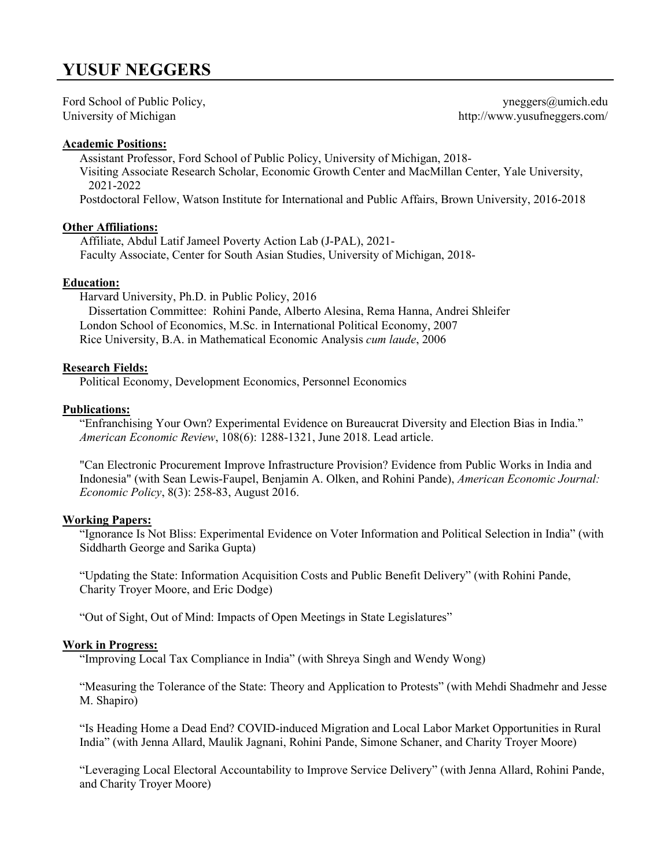# **YUSUF NEGGERS**

Ford School of Public Policy,  $y_1 = f(x)$  yneggers@umich.edu

University of Michigan http://www.yusufneggers.com/

#### **Academic Positions:**

Assistant Professor, Ford School of Public Policy, University of Michigan, 2018- Visiting Associate Research Scholar, Economic Growth Center and MacMillan Center, Yale University, 2021-2022 Postdoctoral Fellow, Watson Institute for International and Public Affairs, Brown University, 2016-2018

#### **Other Affiliations:**

Affiliate, Abdul Latif Jameel Poverty Action Lab (J-PAL), 2021- Faculty Associate, Center for South Asian Studies, University of Michigan, 2018-

#### **Education:**

Harvard University, Ph.D. in Public Policy, 2016

 Dissertation Committee: Rohini Pande, Alberto Alesina, Rema Hanna, Andrei Shleifer London School of Economics, M.Sc. in International Political Economy, 2007 Rice University, B.A. in Mathematical Economic Analysis *cum laude*, 2006

#### **Research Fields:**

Political Economy, Development Economics, Personnel Economics

#### **Publications:**

"Enfranchising Your Own? Experimental Evidence on Bureaucrat Diversity and Election Bias in India." *American Economic Review*, 108(6): 1288-1321, June 2018. Lead article.

"Can Electronic Procurement Improve Infrastructure Provision? Evidence from Public Works in India and Indonesia" (with Sean Lewis-Faupel, Benjamin A. Olken, and Rohini Pande), *American Economic Journal: Economic Policy*, 8(3): 258-83, August 2016.

#### **Working Papers:**

"Ignorance Is Not Bliss: Experimental Evidence on Voter Information and Political Selection in India" (with Siddharth George and Sarika Gupta)

"Updating the State: Information Acquisition Costs and Public Benefit Delivery" (with Rohini Pande, Charity Troyer Moore, and Eric Dodge)

"Out of Sight, Out of Mind: Impacts of Open Meetings in State Legislatures"

#### **Work in Progress:**

"Improving Local Tax Compliance in India" (with Shreya Singh and Wendy Wong)

"Measuring the Tolerance of the State: Theory and Application to Protests" (with Mehdi Shadmehr and Jesse M. Shapiro)

"Is Heading Home a Dead End? COVID-induced Migration and Local Labor Market Opportunities in Rural India" (with Jenna Allard, Maulik Jagnani, Rohini Pande, Simone Schaner, and Charity Troyer Moore)

"Leveraging Local Electoral Accountability to Improve Service Delivery" (with Jenna Allard, Rohini Pande, and Charity Troyer Moore)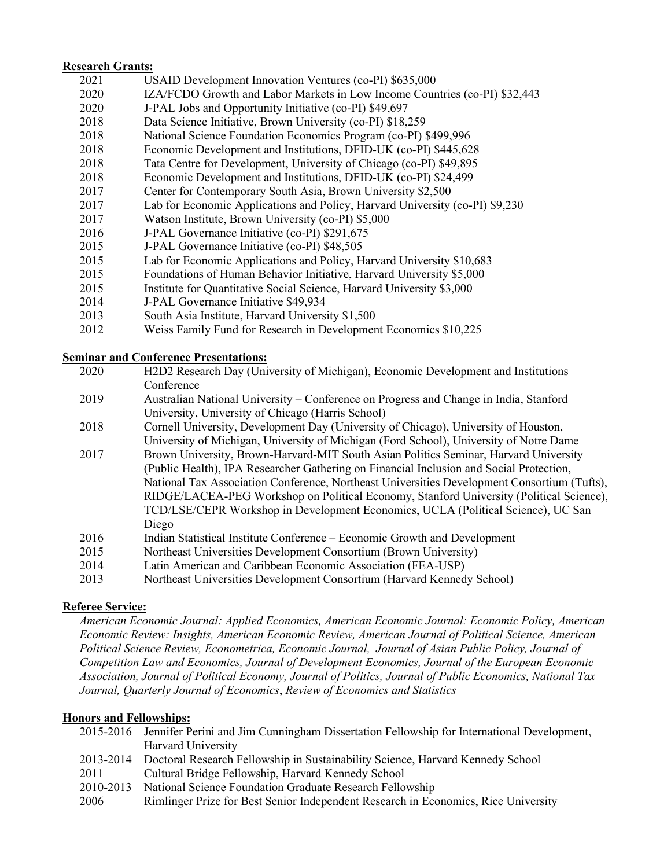# **Research Grants:**<br>2021 US

- 2021 USAID Development Innovation Ventures (co-PI) \$635,000<br>2020 IZA/FCDO Growth and Labor Markets in Low Income Coun
- IZA/FCDO Growth and Labor Markets in Low Income Countries (co-PI) \$32,443
- 2020 J-PAL Jobs and Opportunity Initiative (co-PI) \$49,697
- 2018 Data Science Initiative, Brown University (co-PI) \$18,259
- 2018 National Science Foundation Economics Program (co-PI) \$499,996
- 2018 Economic Development and Institutions, DFID-UK (co-PI) \$445,628
- 2018 Tata Centre for Development, University of Chicago (co-PI) \$49,895
- 2018 Economic Development and Institutions, DFID-UK (co-PI) \$24,499
- 2017 Center for Contemporary South Asia, Brown University \$2,500
- 2017 Lab for Economic Applications and Policy, Harvard University (co-PI) \$9,230
- 2017 Watson Institute, Brown University (co-PI) \$5,000
- 2016 J-PAL Governance Initiative (co-PI) \$291,675
- 2015 J-PAL Governance Initiative (co-PI) \$48,505
- 2015 Lab for Economic Applications and Policy, Harvard University \$10,683
- 2015 Foundations of Human Behavior Initiative, Harvard University \$5,000
- 2015 Institute for Quantitative Social Science, Harvard University \$3,000
- 2014 J-PAL Governance Initiative \$49,934
- 2013 South Asia Institute, Harvard University \$1,500
- 2012 Weiss Family Fund for Research in Development Economics \$10,225

## **Seminar and Conference Presentations:**

- 2020 H2D2 Research Day (University of Michigan), Economic Development and Institutions Conference
- 2019 Australian National University Conference on Progress and Change in India, Stanford University, University of Chicago (Harris School)
- 2018 Cornell University, Development Day (University of Chicago), University of Houston, University of Michigan, University of Michigan (Ford School), University of Notre Dame
- 2017 Brown University, Brown-Harvard-MIT South Asian Politics Seminar, Harvard University (Public Health), IPA Researcher Gathering on Financial Inclusion and Social Protection, National Tax Association Conference, Northeast Universities Development Consortium (Tufts), RIDGE/LACEA-PEG Workshop on Political Economy, Stanford University (Political Science), TCD/LSE/CEPR Workshop in Development Economics, UCLA (Political Science), UC San Diego
- 2016 Indian Statistical Institute Conference Economic Growth and Development
- 2015 Northeast Universities Development Consortium (Brown University)
- 2014 Latin American and Caribbean Economic Association (FEA-USP)
- 2013 Northeast Universities Development Consortium (Harvard Kennedy School)

#### **Referee Service:**

*American Economic Journal: Applied Economics, American Economic Journal: Economic Policy, American Economic Review: Insights, American Economic Review, American Journal of Political Science, American Political Science Review, Econometrica, Economic Journal, Journal of Asian Public Policy, Journal of Competition Law and Economics, Journal of Development Economics, Journal of the European Economic Association, Journal of Political Economy, Journal of Politics, Journal of Public Economics, National Tax Journal, Quarterly Journal of Economics*, *Review of Economics and Statistics*

### **Honors and Fellowships:**

| Jennifer Perini and Jim Cunningham Dissertation Fellowship for International Development, |
|-------------------------------------------------------------------------------------------|
| Harvard University                                                                        |
| Doctoral Research Fellowship in Sustainability Science, Harvard Kennedy School            |
| Cultural Bridge Fellowship, Harvard Kennedy School                                        |
| National Science Foundation Graduate Research Fellowship                                  |
| Rimlinger Prize for Best Senior Independent Research in Economics, Rice University        |
|                                                                                           |